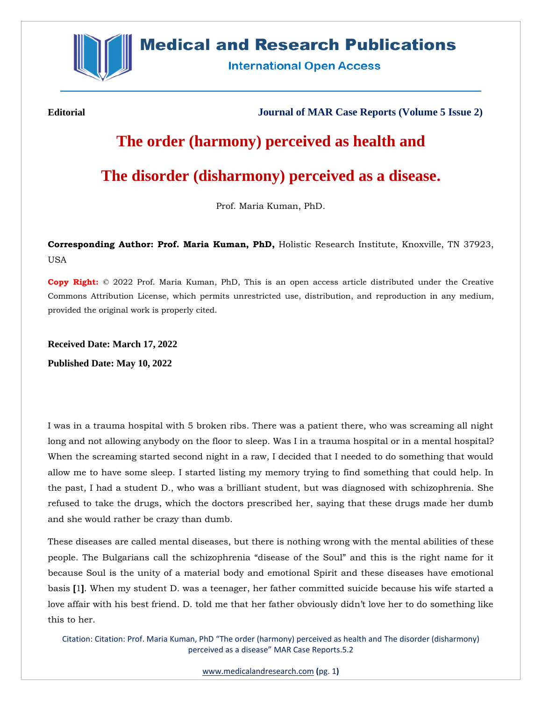

## **Medical and Research Publications**

**International Open Access** 

**Editorial Journal of MAR Case Reports (Volume 5 Issue 2)**

# **The order (harmony) perceived as health and**

### **The disorder (disharmony) perceived as a disease.**

Prof. Maria Kuman, PhD.

**Corresponding Author: Prof. Maria Kuman, PhD,** Holistic Research Institute, Knoxville, TN 37923, USA

**Copy Right:** © 2022 Prof. Maria Kuman, PhD, This is an open access article distributed under the Creative Commons Attribution License, which permits unrestricted use, distribution, and reproduction in any medium, provided the original work is properly cited.

**Received Date: March 17, 2022 Published Date: May 10, 2022**

I was in a trauma hospital with 5 broken ribs. There was a patient there, who was screaming all night long and not allowing anybody on the floor to sleep. Was I in a trauma hospital or in a mental hospital? When the screaming started second night in a raw, I decided that I needed to do something that would allow me to have some sleep. I started listing my memory trying to find something that could help. In the past, I had a student D., who was a brilliant student, but was diagnosed with schizophrenia. She refused to take the drugs, which the doctors prescribed her, saying that these drugs made her dumb and she would rather be crazy than dumb.

These diseases are called mental diseases, but there is nothing wrong with the mental abilities of these people. The Bulgarians call the schizophrenia "disease of the Soul" and this is the right name for it because Soul is the unity of a material body and emotional Spirit and these diseases have emotional basis **[**1**]**. When my student D. was a teenager, her father committed suicide because his wife started a love affair with his best friend. D. told me that her father obviously didn't love her to do something like this to her.

Citation: Citation: Prof. Maria Kuman, PhD "The order (harmony) perceived as health and The disorder (disharmony) perceived as a disease" MAR Case Reports.5.2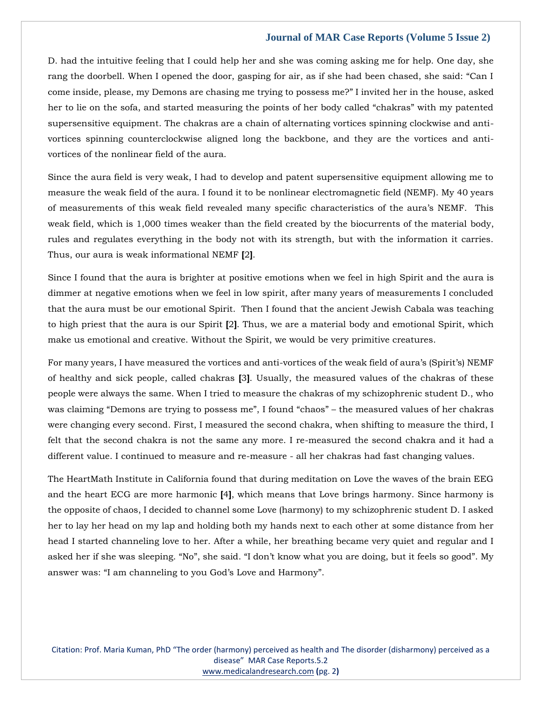#### **Journal of MAR Case Reports (Volume 5 Issue 2)**

D. had the intuitive feeling that I could help her and she was coming asking me for help. One day, she rang the doorbell. When I opened the door, gasping for air, as if she had been chased, she said: "Can I come inside, please, my Demons are chasing me trying to possess me?" I invited her in the house, asked her to lie on the sofa, and started measuring the points of her body called "chakras" with my patented supersensitive equipment. The chakras are a chain of alternating vortices spinning clockwise and antivortices spinning counterclockwise aligned long the backbone, and they are the vortices and antivortices of the nonlinear field of the aura.

Since the aura field is very weak, I had to develop and patent supersensitive equipment allowing me to measure the weak field of the aura. I found it to be nonlinear electromagnetic field (NEMF). My 40 years of measurements of this weak field revealed many specific characteristics of the aura's NEMF. This weak field, which is 1,000 times weaker than the field created by the biocurrents of the material body, rules and regulates everything in the body not with its strength, but with the information it carries. Thus, our aura is weak informational NEMF **[**2**]**.

Since I found that the aura is brighter at positive emotions when we feel in high Spirit and the aura is dimmer at negative emotions when we feel in low spirit, after many years of measurements I concluded that the aura must be our emotional Spirit. Then I found that the ancient Jewish Cabala was teaching to high priest that the aura is our Spirit **[**2**]**. Thus, we are a material body and emotional Spirit, which make us emotional and creative. Without the Spirit, we would be very primitive creatures.

For many years, I have measured the vortices and anti-vortices of the weak field of aura's (Spirit's) NEMF of healthy and sick people, called chakras **[**3**]**. Usually, the measured values of the chakras of these people were always the same. When I tried to measure the chakras of my schizophrenic student D., who was claiming "Demons are trying to possess me", I found "chaos" – the measured values of her chakras were changing every second. First, I measured the second chakra, when shifting to measure the third, I felt that the second chakra is not the same any more. I re-measured the second chakra and it had a different value. I continued to measure and re-measure - all her chakras had fast changing values.

The HeartMath Institute in California found that during meditation on Love the waves of the brain EEG and the heart ECG are more harmonic **[**4**]**, which means that Love brings harmony. Since harmony is the opposite of chaos, I decided to channel some Love (harmony) to my schizophrenic student D. I asked her to lay her head on my lap and holding both my hands next to each other at some distance from her head I started channeling love to her. After a while, her breathing became very quiet and regular and I asked her if she was sleeping. "No", she said. "I don't know what you are doing, but it feels so good". My answer was: "I am channeling to you God's Love and Harmony".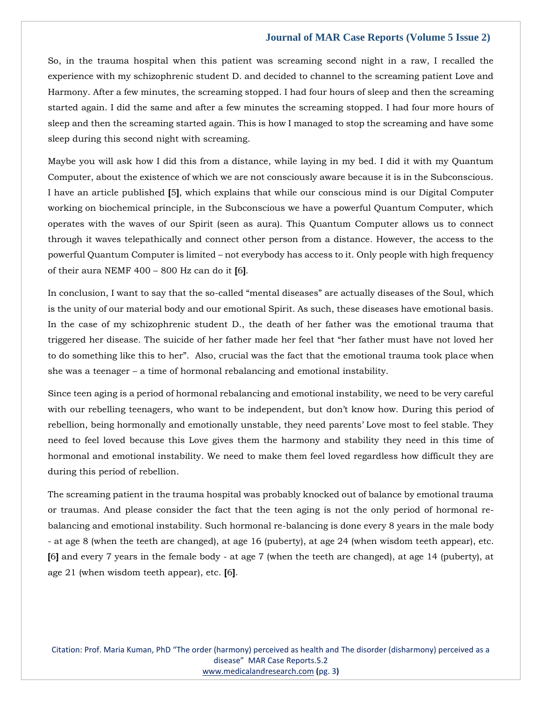#### **Journal of MAR Case Reports (Volume 5 Issue 2)**

So, in the trauma hospital when this patient was screaming second night in a raw, I recalled the experience with my schizophrenic student D. and decided to channel to the screaming patient Love and Harmony. After a few minutes, the screaming stopped. I had four hours of sleep and then the screaming started again. I did the same and after a few minutes the screaming stopped. I had four more hours of sleep and then the screaming started again. This is how I managed to stop the screaming and have some sleep during this second night with screaming.

Maybe you will ask how I did this from a distance, while laying in my bed. I did it with my Quantum Computer, about the existence of which we are not consciously aware because it is in the Subconscious. I have an article published **[**5**]**, which explains that while our conscious mind is our Digital Computer working on biochemical principle, in the Subconscious we have a powerful Quantum Computer, which operates with the waves of our Spirit (seen as aura). This Quantum Computer allows us to connect through it waves telepathically and connect other person from a distance. However, the access to the powerful Quantum Computer is limited – not everybody has access to it. Only people with high frequency of their aura NEMF 400 – 800 Hz can do it **[**6**]**.

In conclusion, I want to say that the so-called "mental diseases" are actually diseases of the Soul, which is the unity of our material body and our emotional Spirit. As such, these diseases have emotional basis. In the case of my schizophrenic student D., the death of her father was the emotional trauma that triggered her disease. The suicide of her father made her feel that "her father must have not loved her to do something like this to her". Also, crucial was the fact that the emotional trauma took place when she was a teenager – a time of hormonal rebalancing and emotional instability.

Since teen aging is a period of hormonal rebalancing and emotional instability, we need to be very careful with our rebelling teenagers, who want to be independent, but don't know how. During this period of rebellion, being hormonally and emotionally unstable, they need parents' Love most to feel stable. They need to feel loved because this Love gives them the harmony and stability they need in this time of hormonal and emotional instability. We need to make them feel loved regardless how difficult they are during this period of rebellion.

The screaming patient in the trauma hospital was probably knocked out of balance by emotional trauma or traumas. And please consider the fact that the teen aging is not the only period of hormonal rebalancing and emotional instability. Such hormonal re-balancing is done every 8 years in the male body - at age 8 (when the teeth are changed), at age 16 (puberty), at age 24 (when wisdom teeth appear), etc. **[**6**]** and every 7 years in the female body - at age 7 (when the teeth are changed), at age 14 (puberty), at age 21 (when wisdom teeth appear), etc. **[**6**]**.